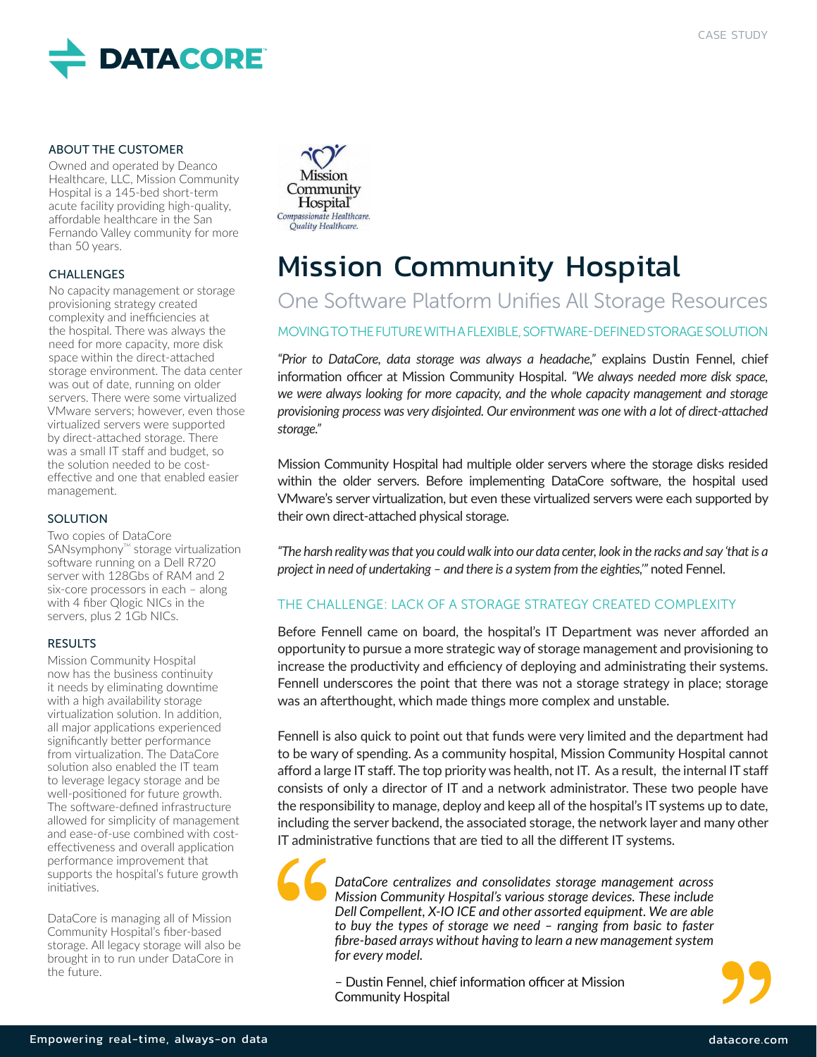

#### ABOUT THE CUSTOMER

Owned and operated by Deanco Healthcare, LLC, Mission Community Hospital is a 145-bed short-term acute facility providing high-quality, affordable healthcare in the San Fernando Valley community for more than 50 years.

#### CHALLENGES

No capacity management or storage provisioning strategy created complexity and inefficiencies at the hospital. There was always the need for more capacity, more disk space within the direct-attached storage environment. The data center was out of date, running on older servers. There were some virtualized VMware servers; however, even those virtualized servers were supported by direct-attached storage. There was a small IT staff and budget, so the solution needed to be costeffective and one that enabled easier management.

#### **SOLUTION**

Two copies of DataCore SANsymphony<sup>™</sup> storage virtualization software running on a Dell R720 server with 128Gbs of RAM and 2 six-core processors in each – along with 4 fiber Qlogic NICs in the servers, plus 2 1Gb NICs.

#### RESULTS

Mission Community Hospital now has the business continuity it needs by eliminating downtime with a high availability storage virtualization solution. In addition, all major applications experienced significantly better performance from virtualization. The DataCore solution also enabled the IT team to leverage legacy storage and be well-positioned for future growth. The software-defined infrastructure allowed for simplicity of management and ease-of-use combined with costeffectiveness and overall application performance improvement that supports the hospital's future growth initiatives.

DataCore is managing all of Mission Community Hospital's fiber-based storage. All legacy storage will also be brought in to run under DataCore in the future.



# Mission Community Hospital

# One Software Platform Unifies All Storage Resources

#### MOVING TO THE FUTURE WITH A FLEXIBLE, SOFTWARE-DEFINED STORAGE SOLUTION

*"Prior to DataCore, data storage was always a headache,"* explains Dustin Fennel, chief information officer at Mission Community Hospital. *"We always needed more disk space, we were always looking for more capacity, and the whole capacity management and storage provisioning process was very disjointed. Our environment was one with a lot of direct-attached storage."*

Mission Community Hospital had multiple older servers where the storage disks resided within the older servers. Before implementing DataCore software, the hospital used VMware's server virtualization, but even these virtualized servers were each supported by their own direct-attached physical storage.

*"The harsh reality was that you could walk into our data center, look in the racks and say 'that is a project in need of undertaking – and there is a system from the eighties,'"* noted Fennel.

#### THE CHALLENGE: LACK OF A STORAGE STRATEGY CREATED COMPLEXITY

Before Fennell came on board, the hospital's IT Department was never afforded an opportunity to pursue a more strategic way of storage management and provisioning to increase the productivity and efficiency of deploying and administrating their systems. Fennell underscores the point that there was not a storage strategy in place; storage was an afterthought, which made things more complex and unstable.

Fennell is also quick to point out that funds were very limited and the department had to be wary of spending. As a community hospital, Mission Community Hospital cannot afford a large IT staff. The top priority was health, not IT. As a result, the internal IT staff consists of only a director of IT and a network administrator. These two people have the responsibility to manage, deploy and keep all of the hospital's IT systems up to date, including the server backend, the associated storage, the network layer and many other IT administrative functions that are tied to all the different IT systems.

*DataCore centralizes and consolidates storage management across Mission Community Hospital's various storage devices. These include Dell Compellent, X-IO ICE and other assorted equipment. We are able to buy the types of storage we need – ranging from basic to faster fibre-based arrays without having to learn a new management system for every model.*

– Dustin Fennel, chief information officer at Mission Community Hospital

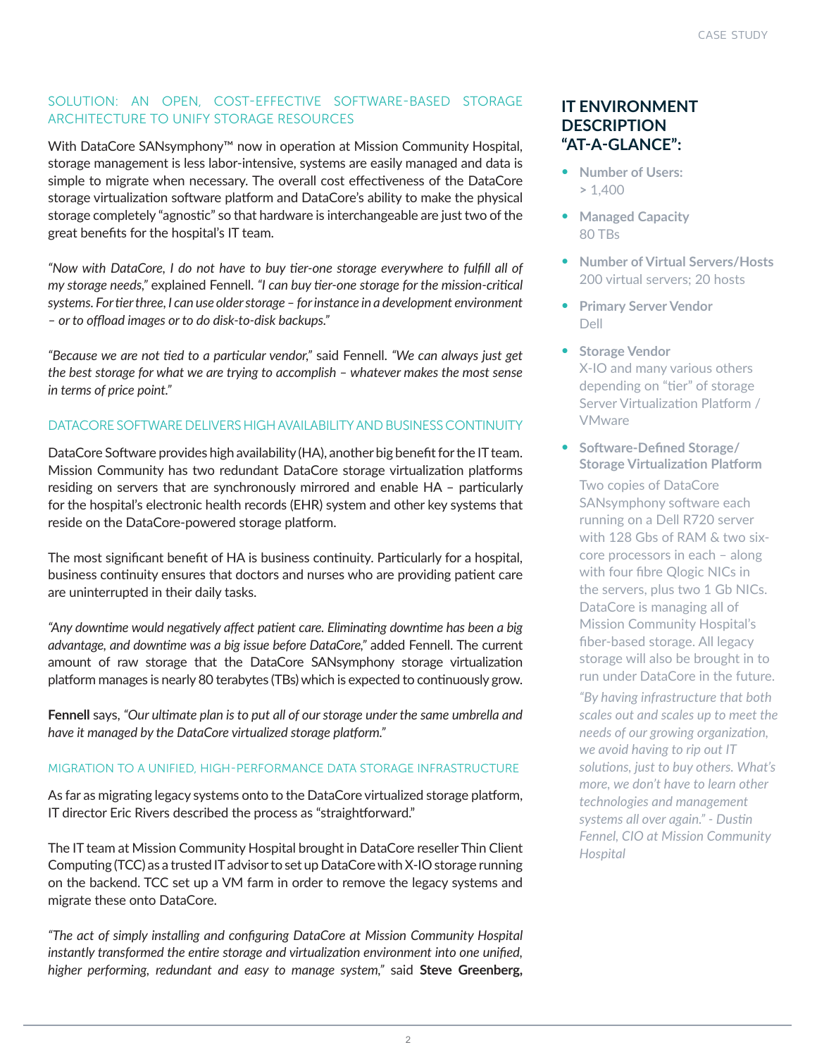# SOLUTION: AN OPEN, COST-EFFECTIVE SOFTWARE-BASED STORAGE ARCHITECTURE TO UNIFY STORAGE RESOURCES

With DataCore SANsymphony™ now in operation at Mission Community Hospital, storage management is less labor-intensive, systems are easily managed and data is simple to migrate when necessary. The overall cost effectiveness of the DataCore storage virtualization software platform and DataCore's ability to make the physical storage completely "agnostic" so that hardware is interchangeable are just two of the great benefits for the hospital's IT team.

*"Now with DataCore, I do not have to buy tier-one storage everywhere to fulfill all of my storage needs,"* explained Fennell. *"I can buy tier-one storage for the mission-critical systems. For tier three, I can use older storage – for instance in a development environment – or to offload images or to do disk-to-disk backups."*

*"Because we are not tied to a particular vendor,"* said Fennell. *"We can always just get the best storage for what we are trying to accomplish – whatever makes the most sense in terms of price point."*

# DATACORE SOFTWARE DELIVERS HIGH AVAILABILITY AND BUSINESS CONTINUITY

DataCore Software provides high availability (HA), another big benefit for the IT team. Mission Community has two redundant DataCore storage virtualization platforms residing on servers that are synchronously mirrored and enable HA – particularly for the hospital's electronic health records (EHR) system and other key systems that reside on the DataCore-powered storage platform.

The most significant benefit of HA is business continuity. Particularly for a hospital, business continuity ensures that doctors and nurses who are providing patient care are uninterrupted in their daily tasks.

*"Any downtime would negatively affect patient care. Eliminating downtime has been a big advantage, and downtime was a big issue before DataCore,"* added Fennell. The current amount of raw storage that the DataCore SANsymphony storage virtualization platform manages is nearly 80 terabytes (TBs) which is expected to continuously grow.

**Fennell** says, *"Our ultimate plan is to put all of our storage under the same umbrella and have it managed by the DataCore virtualized storage platform."*

## MIGRATION TO A UNIFIED, HIGH-PERFORMANCE DATA STORAGE INFRASTRUCTURE

As far as migrating legacy systems onto to the DataCore virtualized storage platform, IT director Eric Rivers described the process as "straightforward."

The IT team at Mission Community Hospital brought in DataCore reseller Thin Client Computing (TCC) as a trusted IT advisor to set up DataCore with X-IO storage running on the backend. TCC set up a VM farm in order to remove the legacy systems and migrate these onto DataCore.

*"The act of simply installing and configuring DataCore at Mission Community Hospital instantly transformed the entire storage and virtualization environment into one unified, higher performing, redundant and easy to manage system,"* said **Steve Greenberg,** 

# **IT ENVIRONMENT DESCRIPTION "AT-A-GLANCE":**

- **• Number of Users: >** 1,400
- **• Managed Capacity** 80 TBs
- **• Number of Virtual Servers/Hosts** 200 virtual servers; 20 hosts
- **• Primary Server Vendor**  Dell
- **• Storage Vendor**  X-IO and many various others depending on "tier" of storage Server Virtualization Platform / VMware
- **• Software-Defined Storage/ Storage Virtualization Platform**

Two copies of DataCore SANsymphony software each running on a Dell R720 server with 128 Gbs of RAM & two sixcore processors in each – along with four fibre Qlogic NICs in the servers, plus two 1 Gb NICs. DataCore is managing all of Mission Community Hospital's fiber-based storage. All legacy storage will also be brought in to run under DataCore in the future.

*"By having infrastructure that both scales out and scales up to meet the needs of our growing organization, we avoid having to rip out IT solutions, just to buy others. What's more, we don't have to learn other technologies and management systems all over again." - Dustin Fennel, CIO at Mission Community Hospital*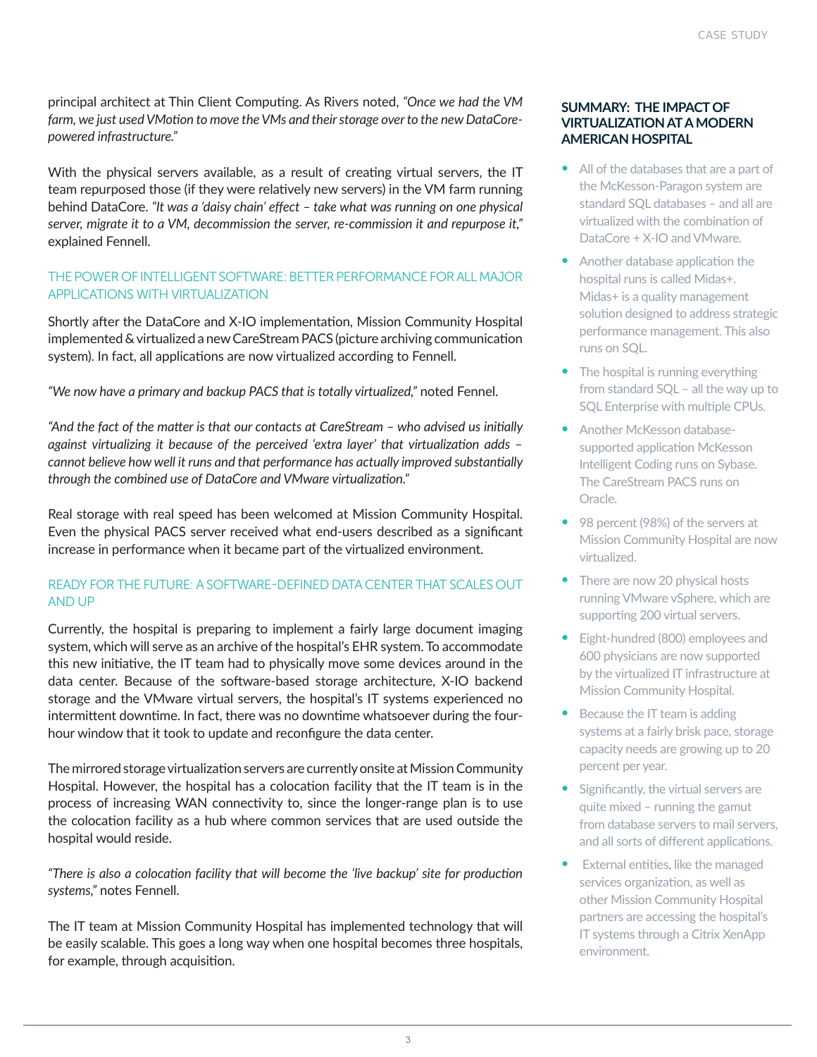principal architect at Thin Client Computing. As Rivers noted, *"Once we had the VM farm, we just used VMotion to move the VMs and their storage over to the new DataCorepowered infrastructure."* 

With the physical servers available, as a result of creating virtual servers, the IT team repurposed those (if they were relatively new servers) in the VM farm running behind DataCore. *"It was a 'daisy chain' effect – take what was running on one physical server, migrate it to a VM, decommission the server, re-commission it and repurpose it,"* explained Fennell.

# THE POWER OF INTELLIGENT SOFTWARE: BETTER PERFORMANCE FOR ALL MAJOR APPLICATIONS WITH VIRTUALIZATION

Shortly after the DataCore and X-IO implementation, Mission Community Hospital implemented & virtualized a new CareStream PACS (picture archiving communication system). In fact, all applications are now virtualized according to Fennell.

*"We now have a primary and backup PACS that is totally virtualized,"* noted Fennel.

*"And the fact of the matter is that our contacts at CareStream – who advised us initially against virtualizing it because of the perceived 'extra layer' that virtualization adds – cannot believe how well it runs and that performance has actually improved substantially through the combined use of DataCore and VMware virtualization."* 

Real storage with real speed has been welcomed at Mission Community Hospital. Even the physical PACS server received what end-users described as a significant increase in performance when it became part of the virtualized environment.

# READY FOR THE FUTURE: A SOFTWARE-DEFINED DATA CENTER THAT SCALES OUT AND UP

Currently, the hospital is preparing to implement a fairly large document imaging system, which will serve as an archive of the hospital's EHR system. To accommodate this new initiative, the IT team had to physically move some devices around in the data center. Because of the software-based storage architecture, X-IO backend storage and the VMware virtual servers, the hospital's IT systems experienced no intermittent downtime. In fact, there was no downtime whatsoever during the fourhour window that it took to update and reconfigure the data center.

The mirrored storage virtualization servers are currently onsite at Mission Community Hospital. However, the hospital has a colocation facility that the IT team is in the process of increasing WAN connectivity to, since the longer-range plan is to use the colocation facility as a hub where common services that are used outside the hospital would reside.

*"There is also a colocation facility that will become the 'live backup' site for production systems,"* notes Fennell.

The IT team at Mission Community Hospital has implemented technology that will be easily scalable. This goes a long way when one hospital becomes three hospitals, for example, through acquisition.

## **SUMMARY: THE IMPACT OF VIRTUALIZATION AT A MODERN AMERICAN HOSPITAL**

- All of the databases that are a part of the McKesson-Paragon system are standard SQL databases – and all are virtualized with the combination of DataCore + X-IO and VMware.
- Another database application the hospital runs is called Midas+. Midas+ is a quality management solution designed to address strategic performance management. This also runs on SQL.
- The hospital is running everything from standard SQL – all the way up to SQL Enterprise with multiple CPUs.
- Another McKesson databasesupported application McKesson Intelligent Coding runs on Sybase. The CareStream PACS runs on Oracle.
- 98 percent (98%) of the servers at Mission Community Hospital are now virtualized.
- There are now 20 physical hosts running VMware vSphere, which are supporting 200 virtual servers.
- Eight-hundred (800) employees and 600 physicians are now supported by the virtualized IT infrastructure at Mission Community Hospital.
- Because the IT team is adding systems at a fairly brisk pace, storage capacity needs are growing up to 20 percent per year.
- Significantly, the virtual servers are quite mixed – running the gamut from database servers to mail servers, and all sorts of different applications.
- External entities, like the managed services organization, as well as other Mission Community Hospital partners are accessing the hospital's IT systems through a Citrix XenApp environment.